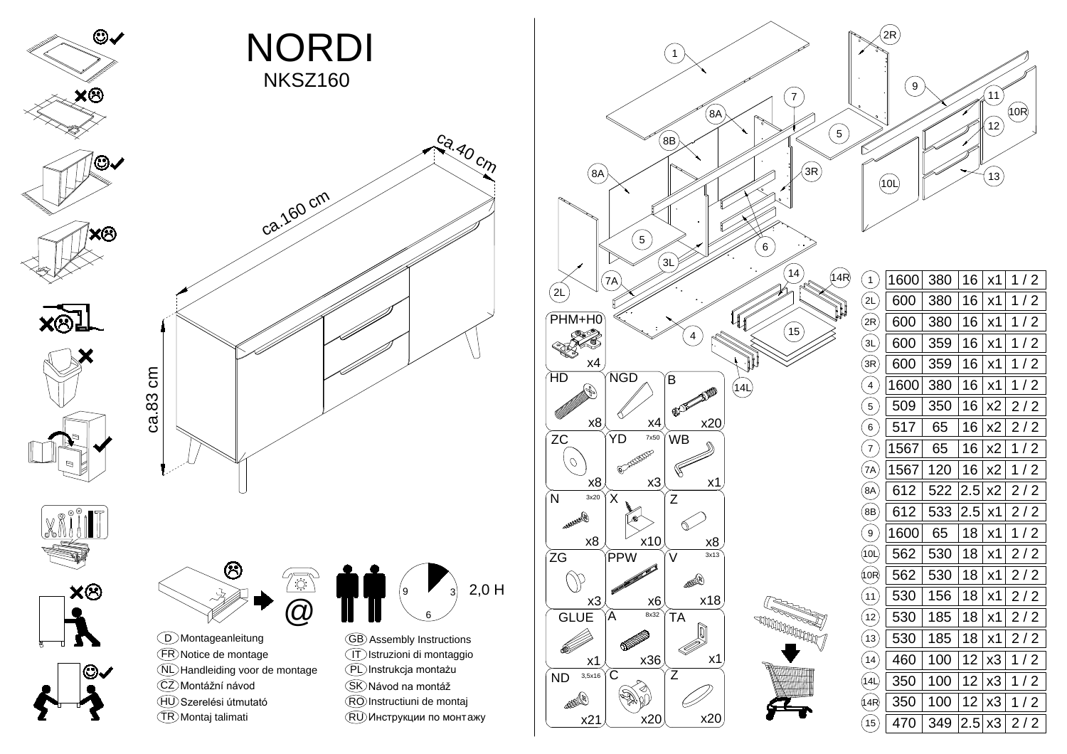

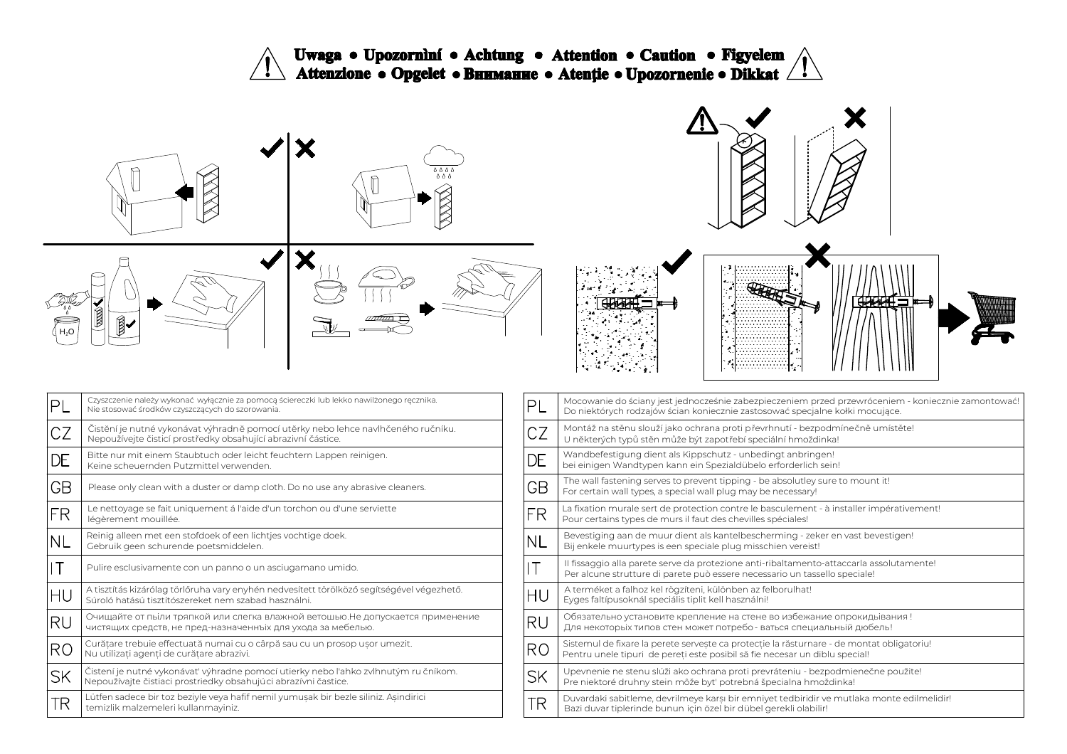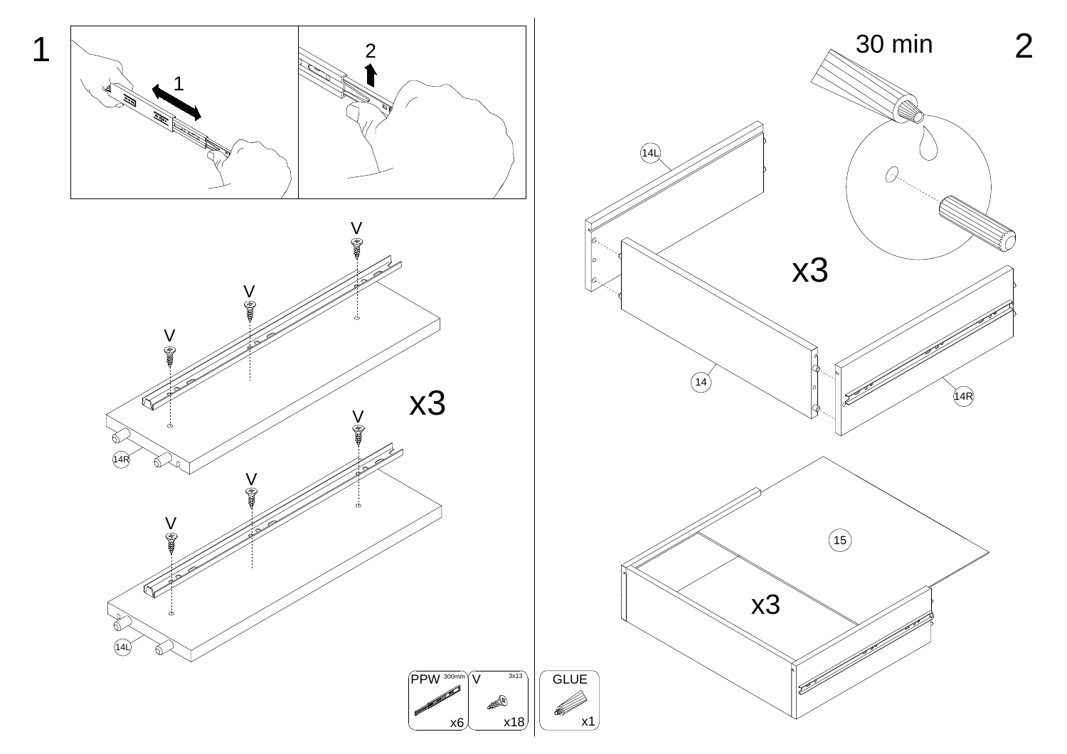

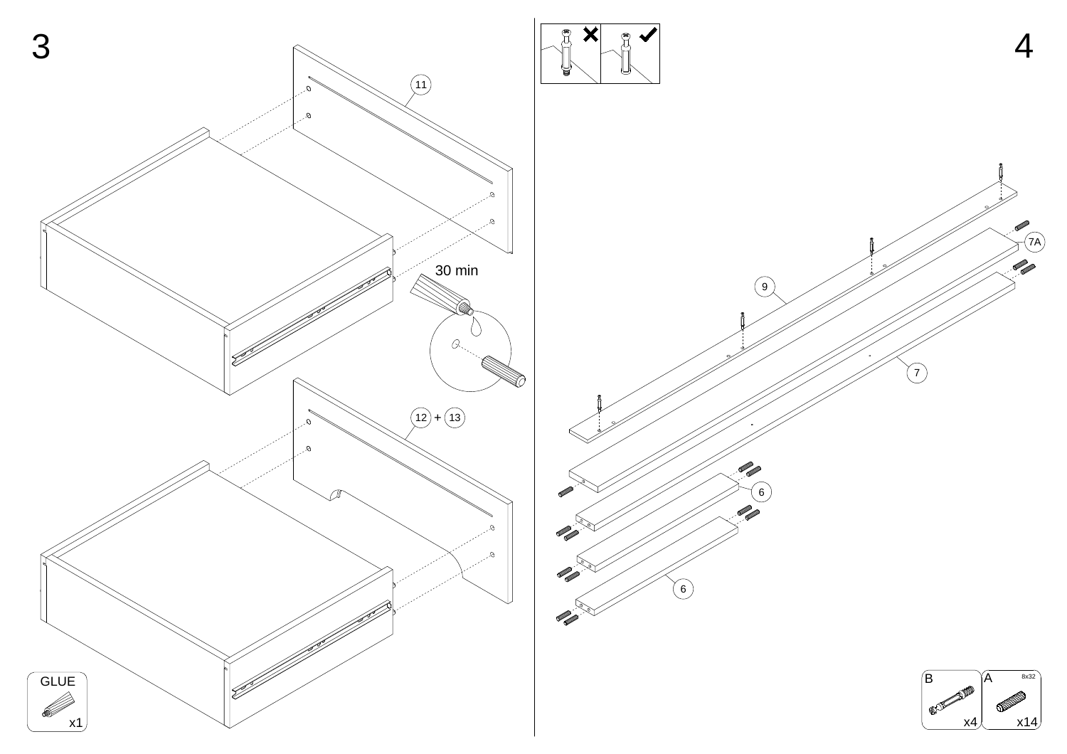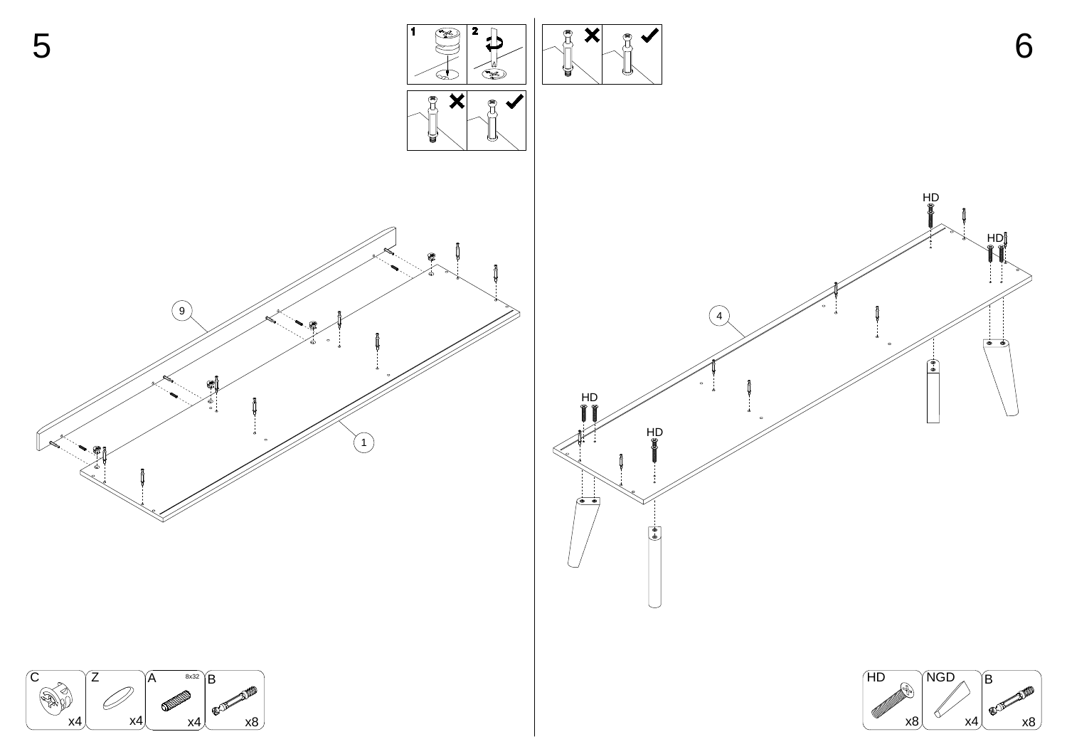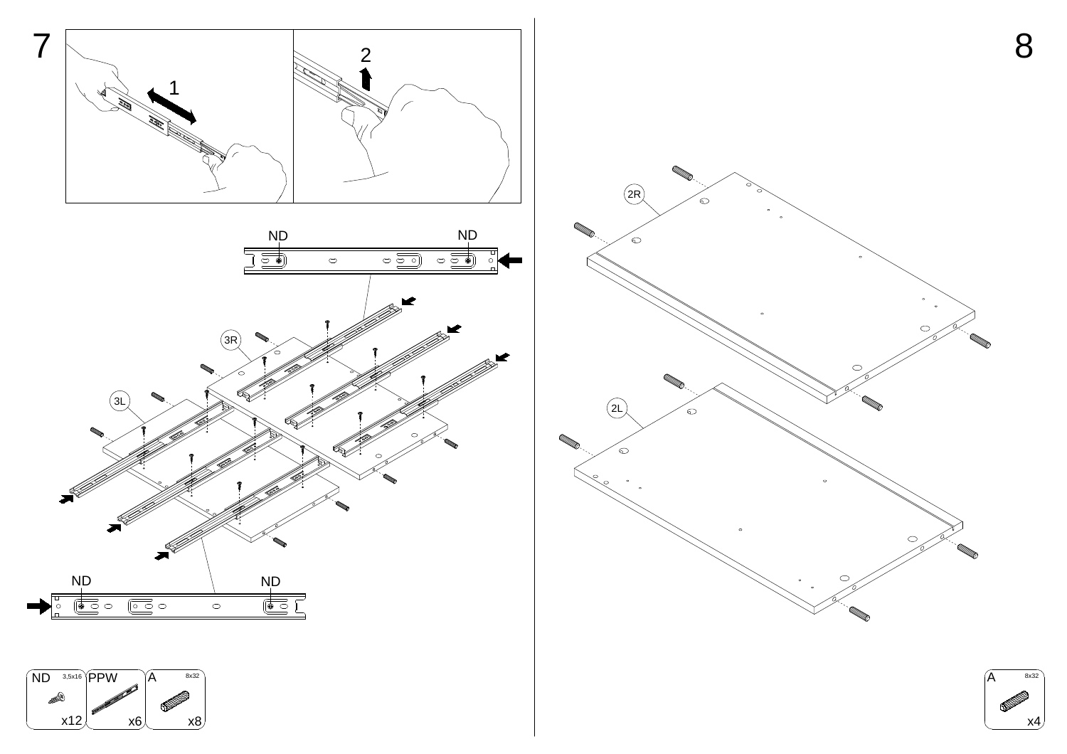![](_page_5_Figure_0.jpeg)

![](_page_5_Picture_2.jpeg)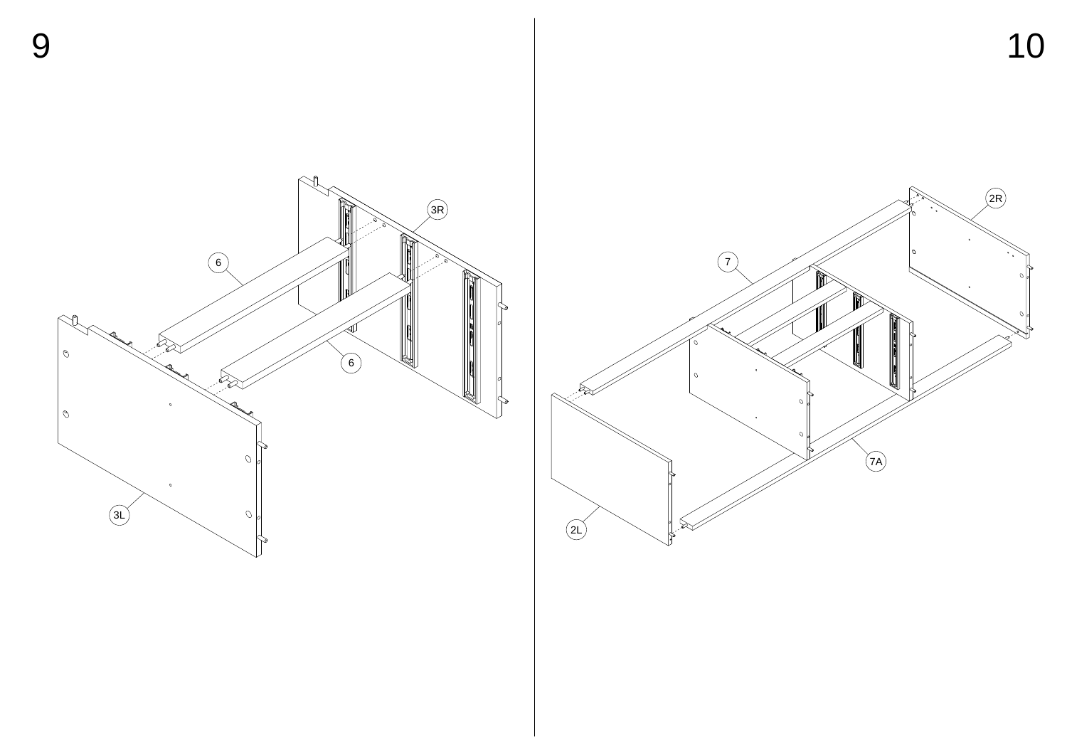![](_page_6_Picture_0.jpeg)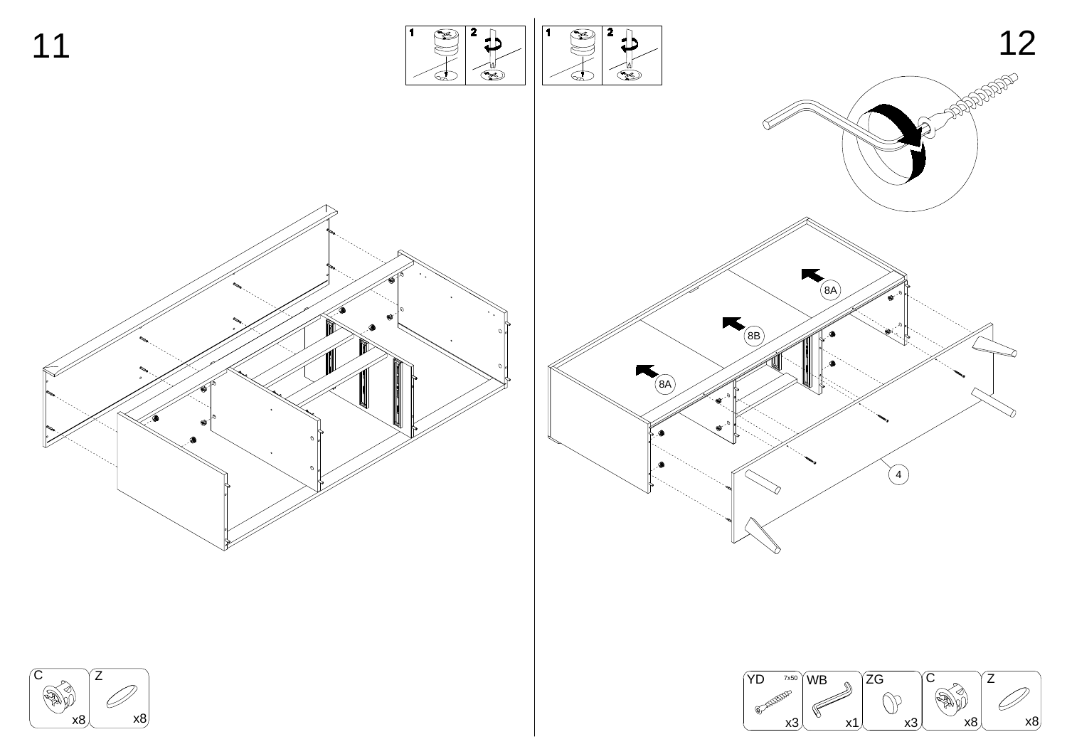![](_page_7_Figure_0.jpeg)

![](_page_7_Figure_1.jpeg)

![](_page_7_Picture_2.jpeg)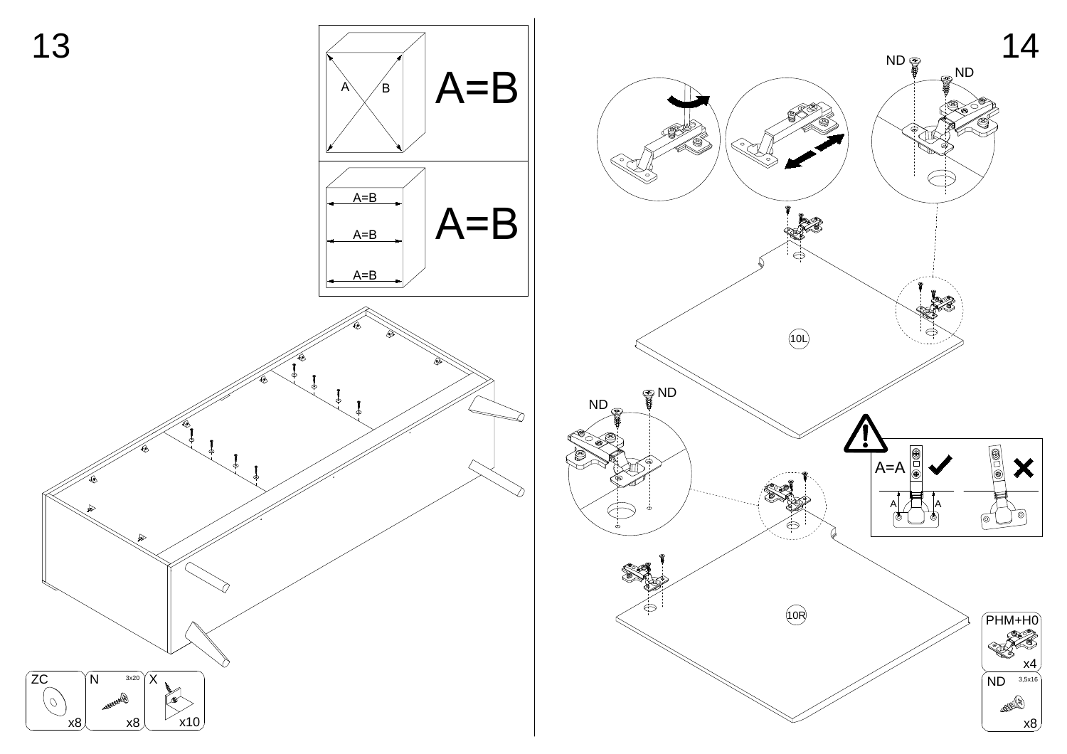![](_page_8_Figure_0.jpeg)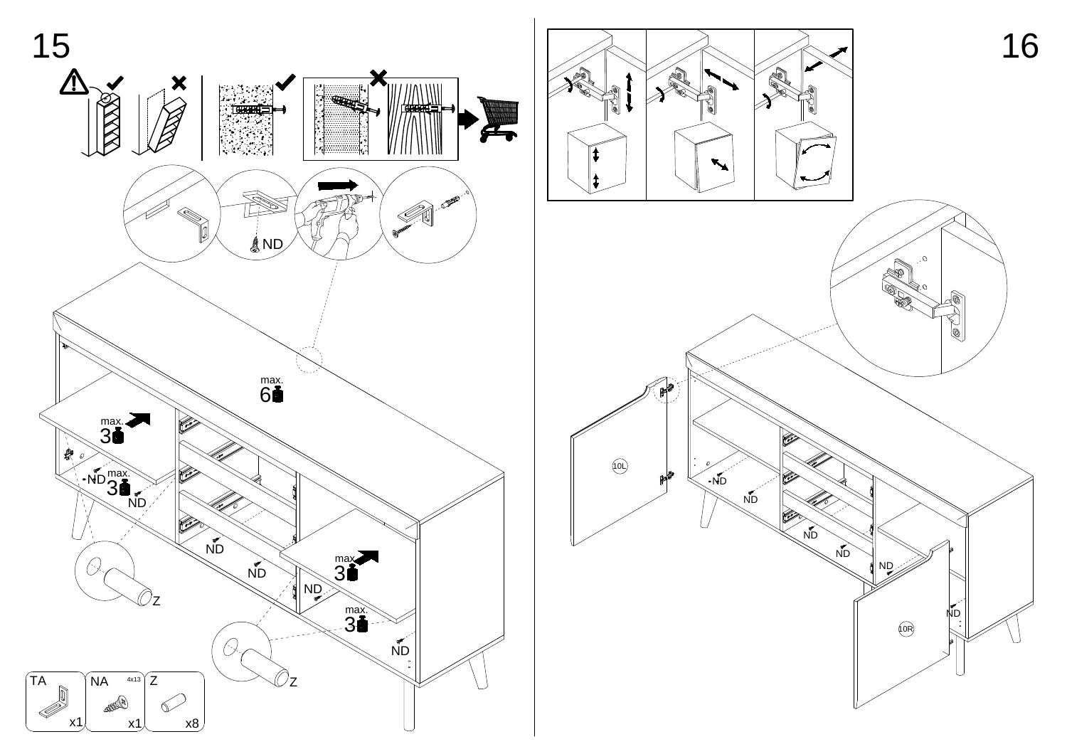![](_page_9_Figure_0.jpeg)

![](_page_9_Picture_1.jpeg)